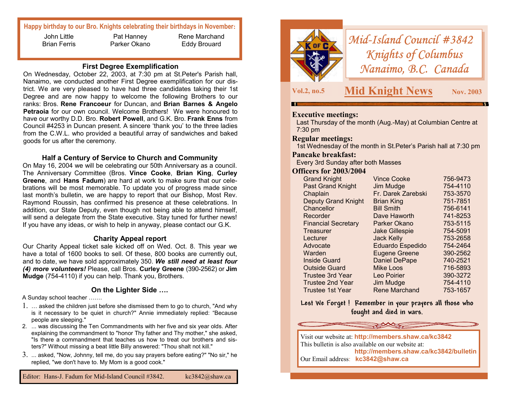# **Happy birthday to our Bro. Knights celebrating their birthdays in November:**

John Little Brian Ferris

Pat Hanney Parker Okano

Rene Marchand Eddy Brouard

#### **First Degree Exemplification**

On Wednesday, October 22, 2003, at 7:30 pm at St.Peter's Parish hall, Nanaimo, we conducted another First Degree exemplification for our district. We are very pleased to have had three candidates taking their 1st Degree and are now happy to welcome the following Brothers to our ranks: Bros. **Rene Francoeur** for Duncan, and **Brian Barnes & Angelo Petraoia** for our own council. Welcome Brothers! We were honoured to have our worthy D.D. Bro. **Robert Powell**, and G.K. Bro. **Frank Enns** from Council #4253 in Duncan present. A sincere 'thank you' to the three ladies from the C.W.L. who provided a beautiful array of sandwiches and baked goods for us after the ceremony.

# **Half a Century of Service to Church and Community**

On May 16, 2004 we will be celebrating our 50th Anniversary as a council. The Anniversary Committee (Bros. **Vince Cooke**, **Brian King**, **Curley Greene**, and **Hans Fadum**) are hard at work to make sure that our celebrations will be most memorable. To update you of progress made since last month's bulletin, we are happy to report that our Bishop, Most Rev. Raymond Roussin, has confirmed his presence at these celebrations. In addition, our State Deputy, even though not being able to attend himself, will send a delegate from the State executive. Stay tuned for further news! If you have any ideas, or wish to help in anyway, please contact our G.K.

# **Charity Appeal report**

Our Charity Appeal ticket sale kicked off on Wed. Oct. 8. This year we have a total of 1600 books to sell. Of these, 800 books are currently out, and to date, we have sold approximately 350. *We still need at least four (4) more volunteers!* Please, call Bros. **Curley Greene** (390-2562) or **Jim Mudge** (754-4110) if you can help. Thank you, Brothers.

# **On the Lighter Side ….**

A Sunday school teacher …….

- $1. \; \ldots$  asked the children just before she dismissed them to go to church, "And why is it necessary to be quiet in church?" Annie immediately replied: "Because people are sleeping."
- 2. ... was discussing the Ten Commandments with her five and six year olds. After explaining the commandment to "honor Thy father and Thy mother," she asked, "Is there a commandment that teaches us how to treat our brothers and sisters?" Without missing a beat little Billy answered: "Thou shalt not kill."
- $3. \,$  ... asked, "Now, Johnny, tell me, do you say prayers before eating?" "No sir," he replied, "we don't have to. My Mom is a good cook."



*Mid-Island Council #3842 Knights of Columbus Nanaimo, B.C. Canada* 

**Vol.2, no.5 Mid Knight News Nov. 2003** 

# **Executive meetings:**

Last Thursday of the month (Aug.-May) at Columbian Centre at 7:30 pm

#### **Regular meetings:**

1st Wednesday of the month in St.Peter's Parish hall at 7:30 pm

#### **Pancake breakfast:**

Every 3rd Sunday after both Masses

#### **Officers for 2003/2004**

| <b>Grand Knight</b>        | <b>Vince Cooke</b>      | 756-9473 |
|----------------------------|-------------------------|----------|
| <b>Past Grand Knight</b>   | Jim Mudge               | 754-4110 |
| Chaplain                   | Fr. Darek Zarebski      | 753-3570 |
| <b>Deputy Grand Knight</b> | <b>Brian King</b>       | 751-7851 |
| Chancellor                 | <b>Bill Smith</b>       | 756-6141 |
| Recorder                   | Dave Haworth            | 741-8253 |
| <b>Financial Secretary</b> | Parker Okano            | 753-5115 |
| Treasurer                  | <b>Jake Gillespie</b>   | 754-5091 |
| Lecturer                   | <b>Jack Kelly</b>       | 753-2658 |
| Advocate                   | <b>Eduardo Espedido</b> | 754-2464 |
| Warden                     | <b>Eugene Greene</b>    | 390-2562 |
| <b>Inside Guard</b>        | <b>Daniel DePape</b>    | 740-2521 |
| <b>Outside Guard</b>       | <b>Mike Loos</b>        | 716-5893 |
| <b>Trustee 3rd Year</b>    | Leo Poirier             | 390-3272 |
| <b>Trustee 2nd Year</b>    | Jim Mudge               | 754-4110 |
| Trustee 1st Year           | <b>Rene Marchand</b>    | 753-1657 |

**Lest We Forget ! Remember in your prayers all those who fought and died in wars.**